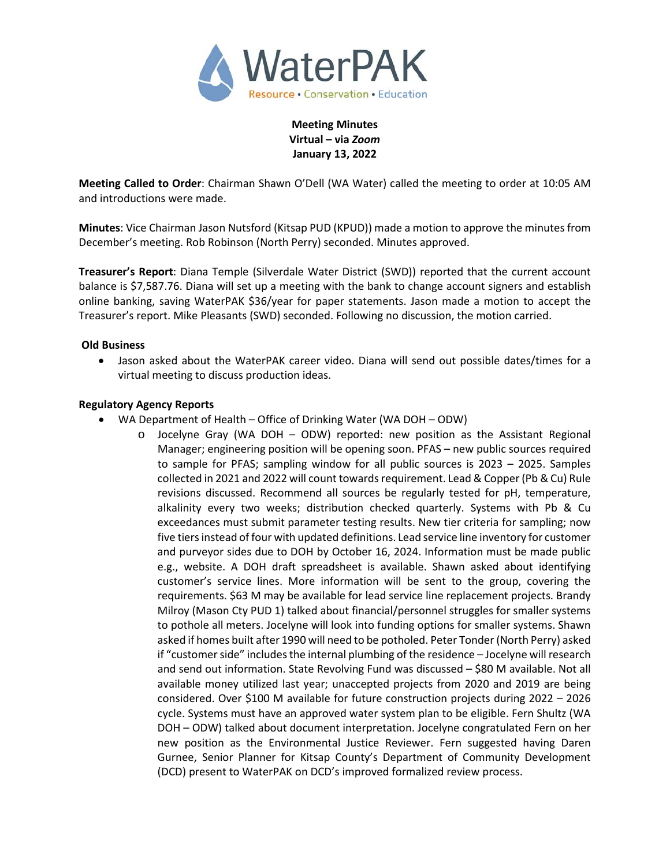

**Meeting Minutes Virtual – via** *Zoom* **January 13, 2022**

**Meeting Called to Order**: Chairman Shawn O'Dell (WA Water) called the meeting to order at 10:05 AM and introductions were made.

**Minutes**: Vice Chairman Jason Nutsford (Kitsap PUD (KPUD)) made a motion to approve the minutes from December's meeting. Rob Robinson (North Perry) seconded. Minutes approved.

**Treasurer's Report**: Diana Temple (Silverdale Water District (SWD)) reported that the current account balance is \$7,587.76. Diana will set up a meeting with the bank to change account signers and establish online banking, saving WaterPAK \$36/year for paper statements. Jason made a motion to accept the Treasurer's report. Mike Pleasants (SWD) seconded. Following no discussion, the motion carried.

### **Old Business**

• Jason asked about the WaterPAK career video. Diana will send out possible dates/times for a virtual meeting to discuss production ideas.

### **Regulatory Agency Reports**

- WA Department of Health Office of Drinking Water (WA DOH ODW)
	- $\circ$  Jocelyne Gray (WA DOH ODW) reported: new position as the Assistant Regional Manager; engineering position will be opening soon. PFAS – new public sources required to sample for PFAS; sampling window for all public sources is 2023 – 2025. Samples collected in 2021 and 2022 will count towards requirement. Lead & Copper (Pb & Cu) Rule revisions discussed. Recommend all sources be regularly tested for pH, temperature, alkalinity every two weeks; distribution checked quarterly. Systems with Pb & Cu exceedances must submit parameter testing results. New tier criteria for sampling; now five tiers instead of four with updated definitions. Lead service line inventory for customer and purveyor sides due to DOH by October 16, 2024. Information must be made public e.g., website. A DOH draft spreadsheet is available. Shawn asked about identifying customer's service lines. More information will be sent to the group, covering the requirements. \$63 M may be available for lead service line replacement projects. Brandy Milroy (Mason Cty PUD 1) talked about financial/personnel struggles for smaller systems to pothole all meters. Jocelyne will look into funding options for smaller systems. Shawn asked if homes built after 1990 will need to be potholed. Peter Tonder(North Perry) asked if "customer side" includes the internal plumbing of the residence – Jocelyne will research and send out information. State Revolving Fund was discussed – \$80 M available. Not all available money utilized last year; unaccepted projects from 2020 and 2019 are being considered. Over \$100 M available for future construction projects during 2022 – 2026 cycle. Systems must have an approved water system plan to be eligible. Fern Shultz (WA DOH – ODW) talked about document interpretation. Jocelyne congratulated Fern on her new position as the Environmental Justice Reviewer. Fern suggested having Daren Gurnee, Senior Planner for Kitsap County's Department of Community Development (DCD) present to WaterPAK on DCD's improved formalized review process.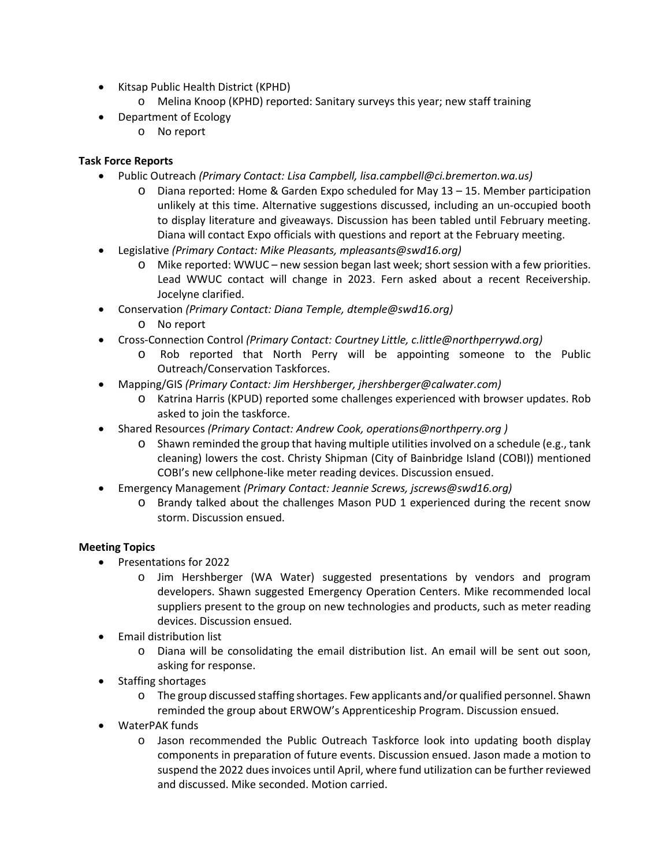- Kitsap Public Health District (KPHD)
	- o Melina Knoop (KPHD) reported: Sanitary surveys this year; new staff training
- Department of Ecology
	- o No report

# **Task Force Reports**

- Public Outreach *(Primary Contact: Lisa Campbell, lisa.campbell@ci.bremerton.wa.us)*
	- o Diana reported: Home & Garden Expo scheduled for May 13 15. Member participation unlikely at this time. Alternative suggestions discussed, including an un-occupied booth to display literature and giveaways. Discussion has been tabled until February meeting. Diana will contact Expo officials with questions and report at the February meeting.
- Legislative *(Primary Contact: Mike Pleasants, mpleasants@swd16.org)* 
	- o Mike reported: WWUC new session began last week; short session with a few priorities. Lead WWUC contact will change in 2023. Fern asked about a recent Receivership. Jocelyne clarified.
- Conservation *(Primary Contact: Diana Temple, dtemple@swd16.org)*
	- o No report
- Cross-Connection Control *(Primary Contact: Courtney Little, [c.little@northperrywd.org\)](mailto:c.little@northperrywd.org)*
	- o Rob reported that North Perry will be appointing someone to the Public Outreach/Conservation Taskforces.
- Mapping/GIS *(Primary Contact: Jim Hershberger, jhershberger@calwater.com)*
	- o Katrina Harris (KPUD) reported some challenges experienced with browser updates. Rob asked to join the taskforce.
- Shared Resources *(Primary Contact: Andrew Cook, operations@northperry.org )*
	- o Shawn reminded the group that having multiple utilities involved on a schedule (e.g., tank cleaning) lowers the cost. Christy Shipman (City of Bainbridge Island (COBI)) mentioned COBI's new cellphone-like meter reading devices. Discussion ensued.
- Emergency Management *(Primary Contact: Jeannie Screws, jscrews@swd16.org)*
	- o Brandy talked about the challenges Mason PUD 1 experienced during the recent snow storm. Discussion ensued.

## **Meeting Topics**

- Presentations for 2022
	- o Jim Hershberger (WA Water) suggested presentations by vendors and program developers. Shawn suggested Emergency Operation Centers. Mike recommended local suppliers present to the group on new technologies and products, such as meter reading devices. Discussion ensued.
- Email distribution list
	- o Diana will be consolidating the email distribution list. An email will be sent out soon, asking for response.
- Staffing shortages
	- o The group discussed staffing shortages. Few applicants and/or qualified personnel. Shawn reminded the group about ERWOW's Apprenticeship Program. Discussion ensued.
- WaterPAK funds
	- o Jason recommended the Public Outreach Taskforce look into updating booth display components in preparation of future events. Discussion ensued. Jason made a motion to suspend the 2022 dues invoices until April, where fund utilization can be further reviewed and discussed. Mike seconded. Motion carried.